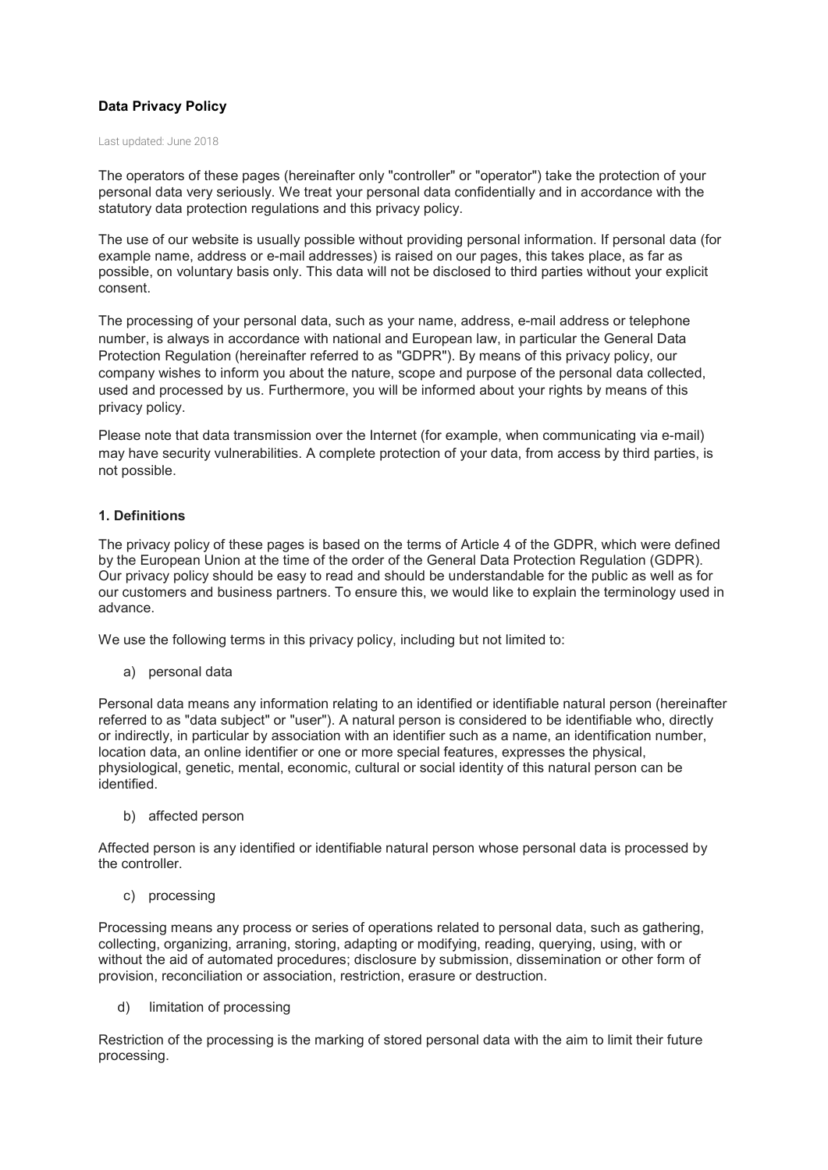# Data Privacy Policy

#### Last updated: June 2018

The operators of these pages (hereinafter only "controller" or "operator") take the protection of your personal data very seriously. We treat your personal data confidentially and in accordance with the statutory data protection regulations and this privacy policy.

The use of our website is usually possible without providing personal information. If personal data (for example name, address or e-mail addresses) is raised on our pages, this takes place, as far as possible, on voluntary basis only. This data will not be disclosed to third parties without your explicit consent.

The processing of your personal data, such as your name, address, e-mail address or telephone number, is always in accordance with national and European law, in particular the General Data Protection Regulation (hereinafter referred to as "GDPR"). By means of this privacy policy, our company wishes to inform you about the nature, scope and purpose of the personal data collected, used and processed by us. Furthermore, you will be informed about your rights by means of this privacy policy.

Please note that data transmission over the Internet (for example, when communicating via e-mail) may have security vulnerabilities. A complete protection of your data, from access by third parties, is not possible.

#### 1. Definitions

The privacy policy of these pages is based on the terms of Article 4 of the GDPR, which were defined by the European Union at the time of the order of the General Data Protection Regulation (GDPR). Our privacy policy should be easy to read and should be understandable for the public as well as for our customers and business partners. To ensure this, we would like to explain the terminology used in advance.

We use the following terms in this privacy policy, including but not limited to:

a) personal data

Personal data means any information relating to an identified or identifiable natural person (hereinafter referred to as "data subject" or "user"). A natural person is considered to be identifiable who, directly or indirectly, in particular by association with an identifier such as a name, an identification number, location data, an online identifier or one or more special features, expresses the physical, physiological, genetic, mental, economic, cultural or social identity of this natural person can be identified.

#### b) affected person

Affected person is any identified or identifiable natural person whose personal data is processed by the controller.

c) processing

Processing means any process or series of operations related to personal data, such as gathering, collecting, organizing, arraning, storing, adapting or modifying, reading, querying, using, with or without the aid of automated procedures; disclosure by submission, dissemination or other form of provision, reconciliation or association, restriction, erasure or destruction.

d) limitation of processing

Restriction of the processing is the marking of stored personal data with the aim to limit their future processing.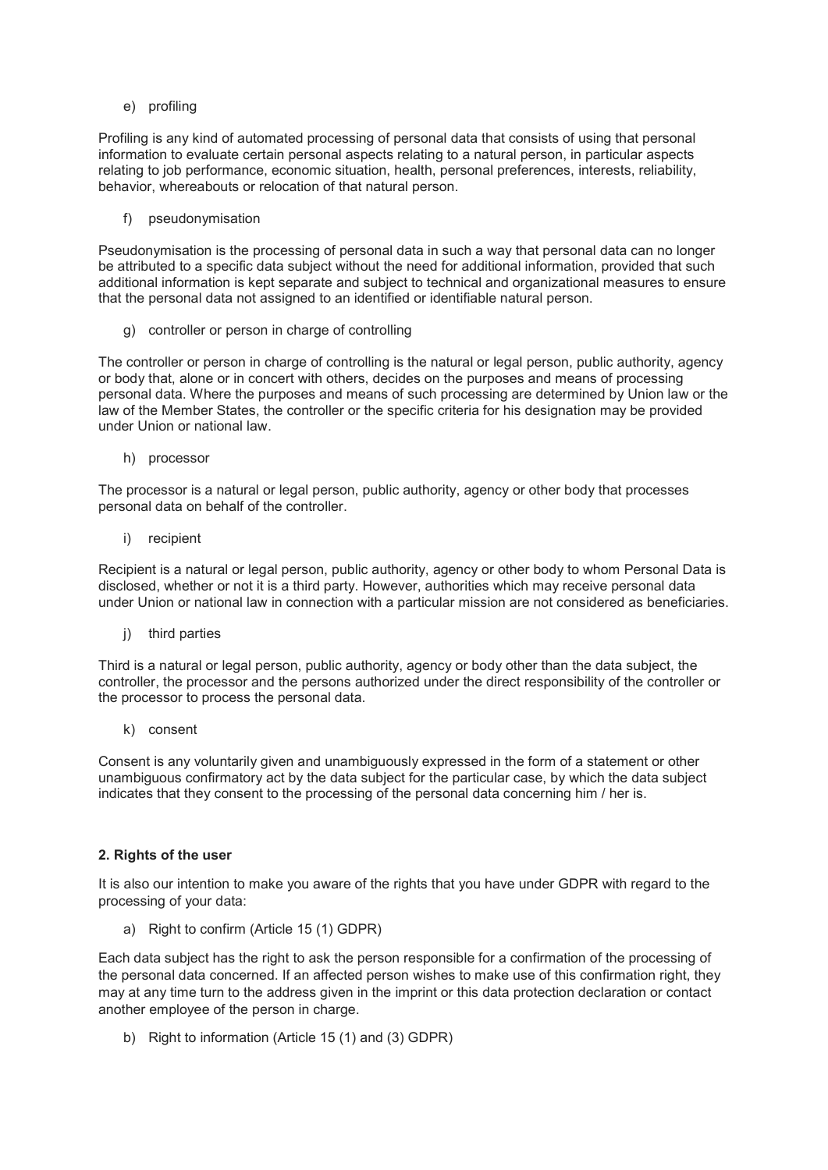e) profiling

Profiling is any kind of automated processing of personal data that consists of using that personal information to evaluate certain personal aspects relating to a natural person, in particular aspects relating to job performance, economic situation, health, personal preferences, interests, reliability, behavior, whereabouts or relocation of that natural person.

f) pseudonymisation

Pseudonymisation is the processing of personal data in such a way that personal data can no longer be attributed to a specific data subject without the need for additional information, provided that such additional information is kept separate and subject to technical and organizational measures to ensure that the personal data not assigned to an identified or identifiable natural person.

g) controller or person in charge of controlling

The controller or person in charge of controlling is the natural or legal person, public authority, agency or body that, alone or in concert with others, decides on the purposes and means of processing personal data. Where the purposes and means of such processing are determined by Union law or the law of the Member States, the controller or the specific criteria for his designation may be provided under Union or national law.

h) processor

The processor is a natural or legal person, public authority, agency or other body that processes personal data on behalf of the controller.

i) recipient

Recipient is a natural or legal person, public authority, agency or other body to whom Personal Data is disclosed, whether or not it is a third party. However, authorities which may receive personal data under Union or national law in connection with a particular mission are not considered as beneficiaries.

j) third parties

Third is a natural or legal person, public authority, agency or body other than the data subject, the controller, the processor and the persons authorized under the direct responsibility of the controller or the processor to process the personal data.

k) consent

Consent is any voluntarily given and unambiguously expressed in the form of a statement or other unambiguous confirmatory act by the data subject for the particular case, by which the data subject indicates that they consent to the processing of the personal data concerning him / her is.

# 2. Rights of the user

It is also our intention to make you aware of the rights that you have under GDPR with regard to the processing of your data:

a) Right to confirm (Article 15 (1) GDPR)

Each data subject has the right to ask the person responsible for a confirmation of the processing of the personal data concerned. If an affected person wishes to make use of this confirmation right, they may at any time turn to the address given in the imprint or this data protection declaration or contact another employee of the person in charge.

b) Right to information (Article 15 (1) and (3) GDPR)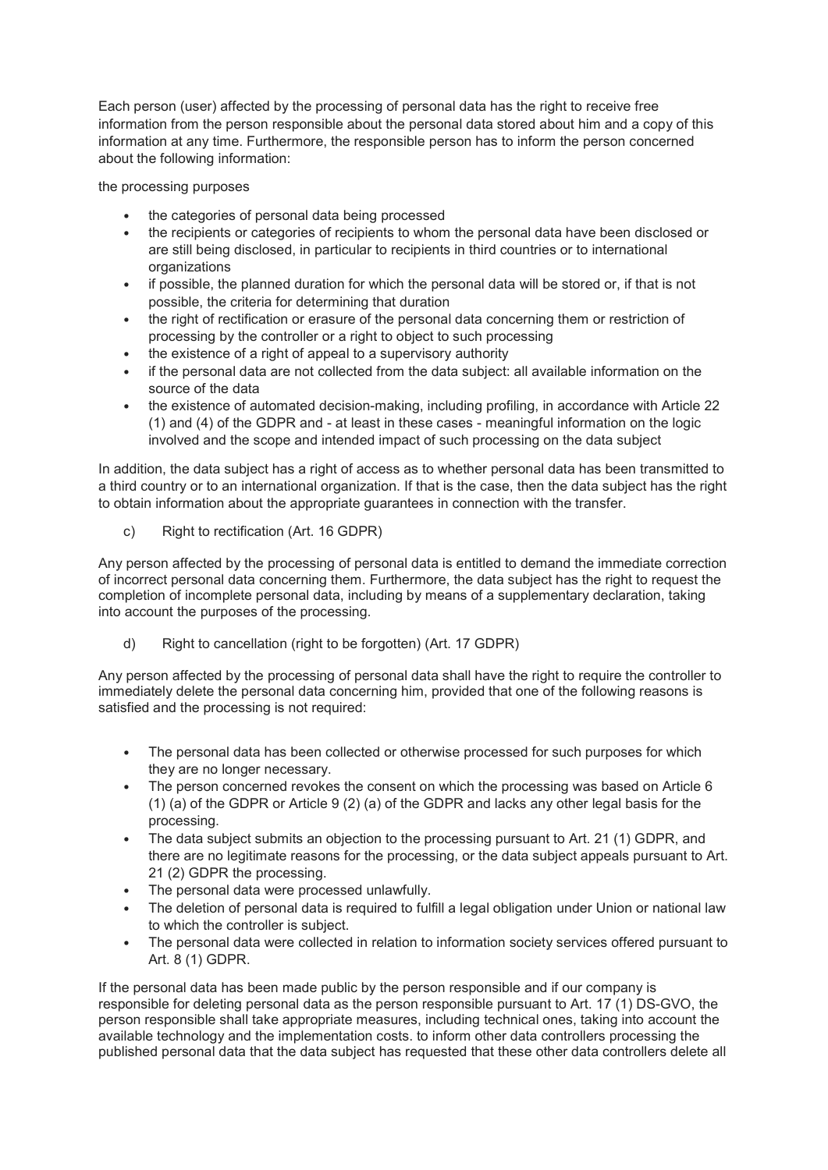Each person (user) affected by the processing of personal data has the right to receive free information from the person responsible about the personal data stored about him and a copy of this information at any time. Furthermore, the responsible person has to inform the person concerned about the following information:

the processing purposes

- the categories of personal data being processed
- the recipients or categories of recipients to whom the personal data have been disclosed or are still being disclosed, in particular to recipients in third countries or to international organizations
- if possible, the planned duration for which the personal data will be stored or, if that is not possible, the criteria for determining that duration
- the right of rectification or erasure of the personal data concerning them or restriction of processing by the controller or a right to object to such processing
- the existence of a right of appeal to a supervisory authority
- if the personal data are not collected from the data subject: all available information on the source of the data
- the existence of automated decision-making, including profiling, in accordance with Article 22 (1) and (4) of the GDPR and - at least in these cases - meaningful information on the logic involved and the scope and intended impact of such processing on the data subject

In addition, the data subject has a right of access as to whether personal data has been transmitted to a third country or to an international organization. If that is the case, then the data subject has the right to obtain information about the appropriate guarantees in connection with the transfer.

c) Right to rectification (Art. 16 GDPR)

Any person affected by the processing of personal data is entitled to demand the immediate correction of incorrect personal data concerning them. Furthermore, the data subject has the right to request the completion of incomplete personal data, including by means of a supplementary declaration, taking into account the purposes of the processing.

d) Right to cancellation (right to be forgotten) (Art. 17 GDPR)

Any person affected by the processing of personal data shall have the right to require the controller to immediately delete the personal data concerning him, provided that one of the following reasons is satisfied and the processing is not required:

- The personal data has been collected or otherwise processed for such purposes for which they are no longer necessary.
- The person concerned revokes the consent on which the processing was based on Article 6 (1) (a) of the GDPR or Article 9 (2) (a) of the GDPR and lacks any other legal basis for the processing.
- The data subject submits an objection to the processing pursuant to Art. 21 (1) GDPR, and there are no legitimate reasons for the processing, or the data subject appeals pursuant to Art. 21 (2) GDPR the processing.
- The personal data were processed unlawfully.
- The deletion of personal data is required to fulfill a legal obligation under Union or national law to which the controller is subject.
- The personal data were collected in relation to information society services offered pursuant to Art. 8 (1) GDPR.

If the personal data has been made public by the person responsible and if our company is responsible for deleting personal data as the person responsible pursuant to Art. 17 (1) DS-GVO, the person responsible shall take appropriate measures, including technical ones, taking into account the available technology and the implementation costs. to inform other data controllers processing the published personal data that the data subject has requested that these other data controllers delete all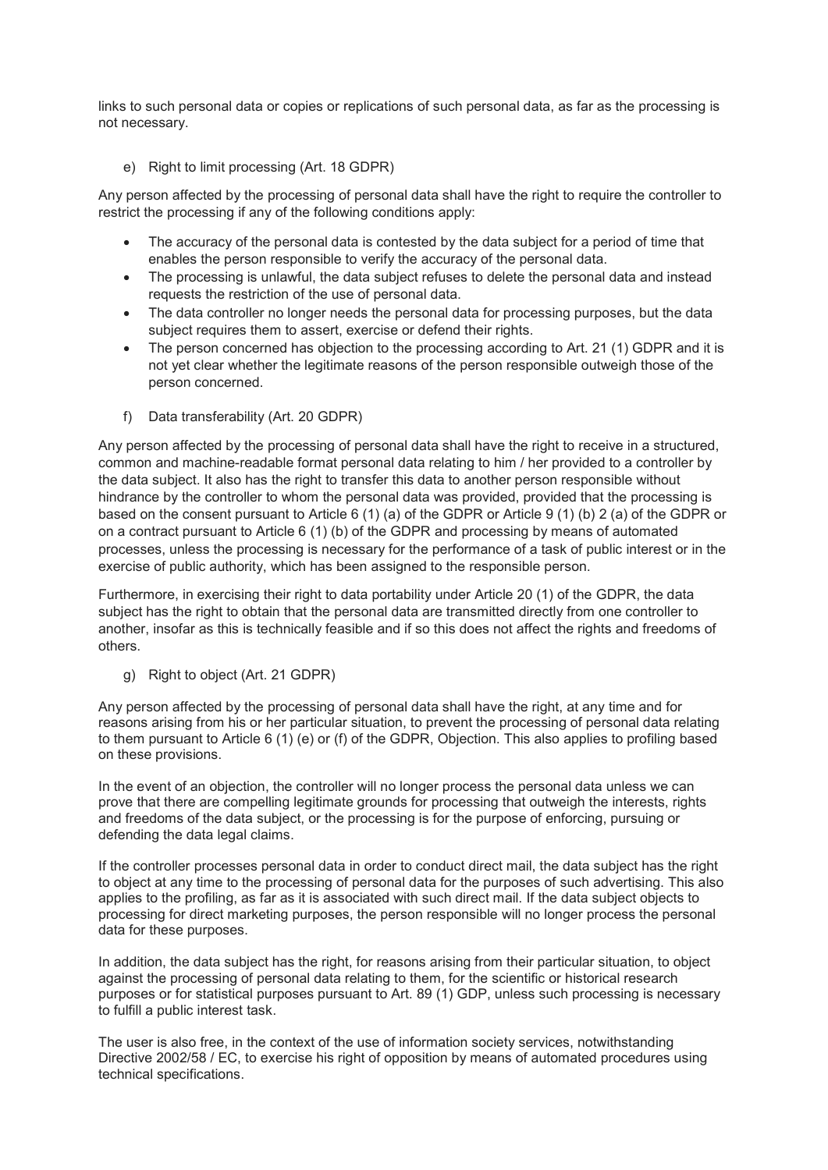links to such personal data or copies or replications of such personal data, as far as the processing is not necessary.

## e) Right to limit processing (Art. 18 GDPR)

Any person affected by the processing of personal data shall have the right to require the controller to restrict the processing if any of the following conditions apply:

- The accuracy of the personal data is contested by the data subject for a period of time that enables the person responsible to verify the accuracy of the personal data.
- The processing is unlawful, the data subject refuses to delete the personal data and instead requests the restriction of the use of personal data.
- The data controller no longer needs the personal data for processing purposes, but the data subject requires them to assert, exercise or defend their rights.
- The person concerned has objection to the processing according to Art. 21 (1) GDPR and it is not yet clear whether the legitimate reasons of the person responsible outweigh those of the person concerned.
- f) Data transferability (Art. 20 GDPR)

Any person affected by the processing of personal data shall have the right to receive in a structured, common and machine-readable format personal data relating to him / her provided to a controller by the data subject. It also has the right to transfer this data to another person responsible without hindrance by the controller to whom the personal data was provided, provided that the processing is based on the consent pursuant to Article 6 (1) (a) of the GDPR or Article 9 (1) (b) 2 (a) of the GDPR or on a contract pursuant to Article 6 (1) (b) of the GDPR and processing by means of automated processes, unless the processing is necessary for the performance of a task of public interest or in the exercise of public authority, which has been assigned to the responsible person.

Furthermore, in exercising their right to data portability under Article 20 (1) of the GDPR, the data subject has the right to obtain that the personal data are transmitted directly from one controller to another, insofar as this is technically feasible and if so this does not affect the rights and freedoms of others.

g) Right to object (Art. 21 GDPR)

Any person affected by the processing of personal data shall have the right, at any time and for reasons arising from his or her particular situation, to prevent the processing of personal data relating to them pursuant to Article 6 (1) (e) or (f) of the GDPR, Objection. This also applies to profiling based on these provisions.

In the event of an objection, the controller will no longer process the personal data unless we can prove that there are compelling legitimate grounds for processing that outweigh the interests, rights and freedoms of the data subject, or the processing is for the purpose of enforcing, pursuing or defending the data legal claims.

If the controller processes personal data in order to conduct direct mail, the data subject has the right to object at any time to the processing of personal data for the purposes of such advertising. This also applies to the profiling, as far as it is associated with such direct mail. If the data subject objects to processing for direct marketing purposes, the person responsible will no longer process the personal data for these purposes.

In addition, the data subject has the right, for reasons arising from their particular situation, to object against the processing of personal data relating to them, for the scientific or historical research purposes or for statistical purposes pursuant to Art. 89 (1) GDP, unless such processing is necessary to fulfill a public interest task.

The user is also free, in the context of the use of information society services, notwithstanding Directive 2002/58 / EC, to exercise his right of opposition by means of automated procedures using technical specifications.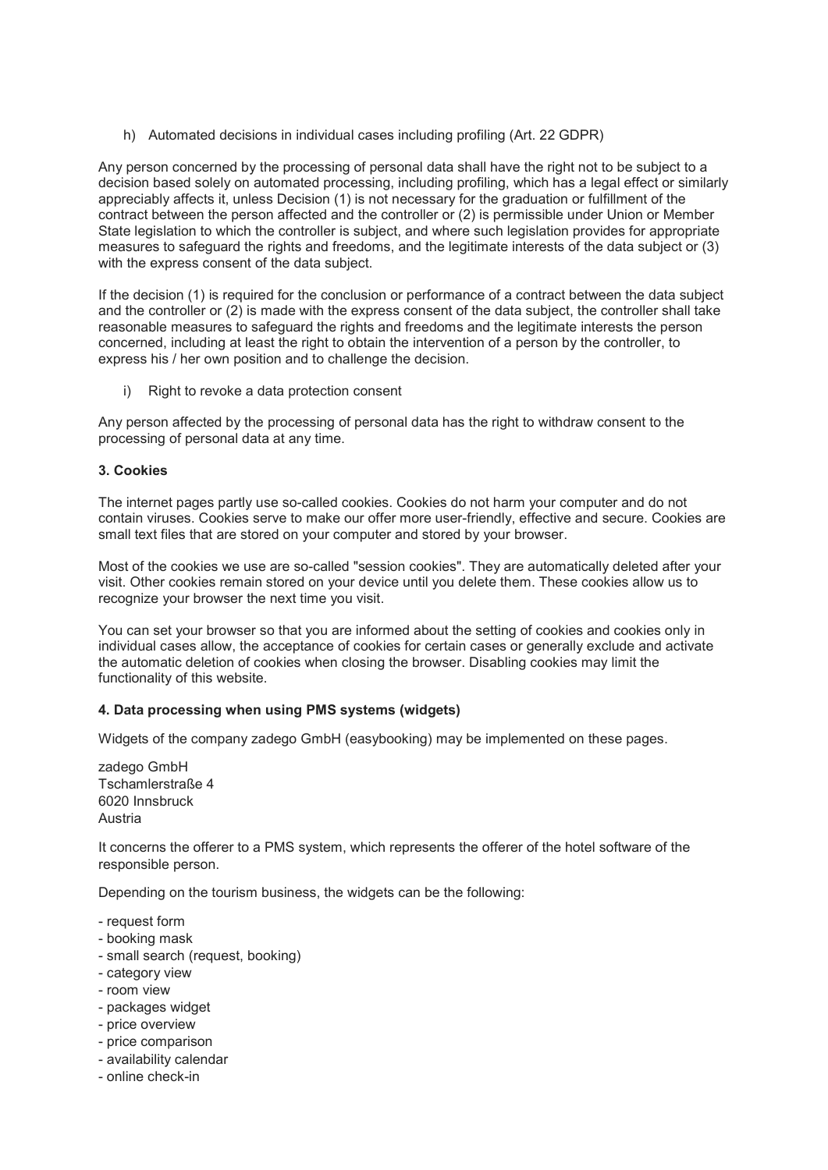h) Automated decisions in individual cases including profiling (Art. 22 GDPR)

Any person concerned by the processing of personal data shall have the right not to be subject to a decision based solely on automated processing, including profiling, which has a legal effect or similarly appreciably affects it, unless Decision (1) is not necessary for the graduation or fulfillment of the contract between the person affected and the controller or (2) is permissible under Union or Member State legislation to which the controller is subject, and where such legislation provides for appropriate measures to safeguard the rights and freedoms, and the legitimate interests of the data subject or (3) with the express consent of the data subject.

If the decision (1) is required for the conclusion or performance of a contract between the data subject and the controller or (2) is made with the express consent of the data subject, the controller shall take reasonable measures to safeguard the rights and freedoms and the legitimate interests the person concerned, including at least the right to obtain the intervention of a person by the controller, to express his / her own position and to challenge the decision.

i) Right to revoke a data protection consent

Any person affected by the processing of personal data has the right to withdraw consent to the processing of personal data at any time.

# 3. Cookies

The internet pages partly use so-called cookies. Cookies do not harm your computer and do not contain viruses. Cookies serve to make our offer more user-friendly, effective and secure. Cookies are small text files that are stored on your computer and stored by your browser.

Most of the cookies we use are so-called "session cookies". They are automatically deleted after your visit. Other cookies remain stored on your device until you delete them. These cookies allow us to recognize your browser the next time you visit.

You can set your browser so that you are informed about the setting of cookies and cookies only in individual cases allow, the acceptance of cookies for certain cases or generally exclude and activate the automatic deletion of cookies when closing the browser. Disabling cookies may limit the functionality of this website.

# 4. Data processing when using PMS systems (widgets)

Widgets of the company zadego GmbH (easybooking) may be implemented on these pages.

zadego GmbH Tschamlerstraße 4 6020 Innsbruck Austria

It concerns the offerer to a PMS system, which represents the offerer of the hotel software of the responsible person.

Depending on the tourism business, the widgets can be the following:

- request form
- booking mask
- small search (request, booking)
- category view
- room view
- packages widget
- price overview
- price comparison
- availability calendar
- online check-in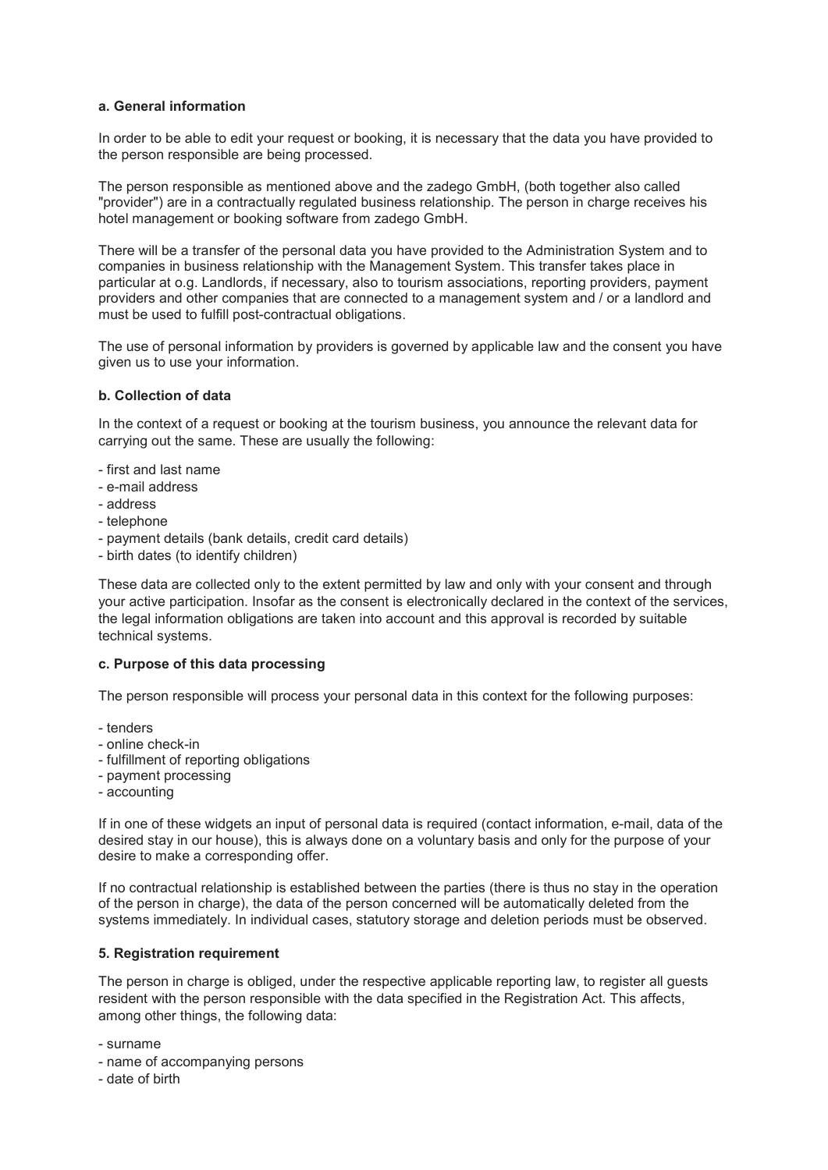### a. General information

In order to be able to edit your request or booking, it is necessary that the data you have provided to the person responsible are being processed.

The person responsible as mentioned above and the zadego GmbH, (both together also called "provider") are in a contractually regulated business relationship. The person in charge receives his hotel management or booking software from zadego GmbH.

There will be a transfer of the personal data you have provided to the Administration System and to companies in business relationship with the Management System. This transfer takes place in particular at o.g. Landlords, if necessary, also to tourism associations, reporting providers, payment providers and other companies that are connected to a management system and / or a landlord and must be used to fulfill post-contractual obligations.

The use of personal information by providers is governed by applicable law and the consent you have given us to use your information.

### b. Collection of data

In the context of a request or booking at the tourism business, you announce the relevant data for carrying out the same. These are usually the following:

- first and last name
- e-mail address
- address
- telephone
- payment details (bank details, credit card details)
- birth dates (to identify children)

These data are collected only to the extent permitted by law and only with your consent and through your active participation. Insofar as the consent is electronically declared in the context of the services, the legal information obligations are taken into account and this approval is recorded by suitable technical systems.

#### c. Purpose of this data processing

The person responsible will process your personal data in this context for the following purposes:

- tenders
- online check-in
- fulfillment of reporting obligations
- payment processing
- accounting

If in one of these widgets an input of personal data is required (contact information, e-mail, data of the desired stay in our house), this is always done on a voluntary basis and only for the purpose of your desire to make a corresponding offer.

If no contractual relationship is established between the parties (there is thus no stay in the operation of the person in charge), the data of the person concerned will be automatically deleted from the systems immediately. In individual cases, statutory storage and deletion periods must be observed.

#### 5. Registration requirement

The person in charge is obliged, under the respective applicable reporting law, to register all guests resident with the person responsible with the data specified in the Registration Act. This affects, among other things, the following data:

- surname
- name of accompanying persons
- date of birth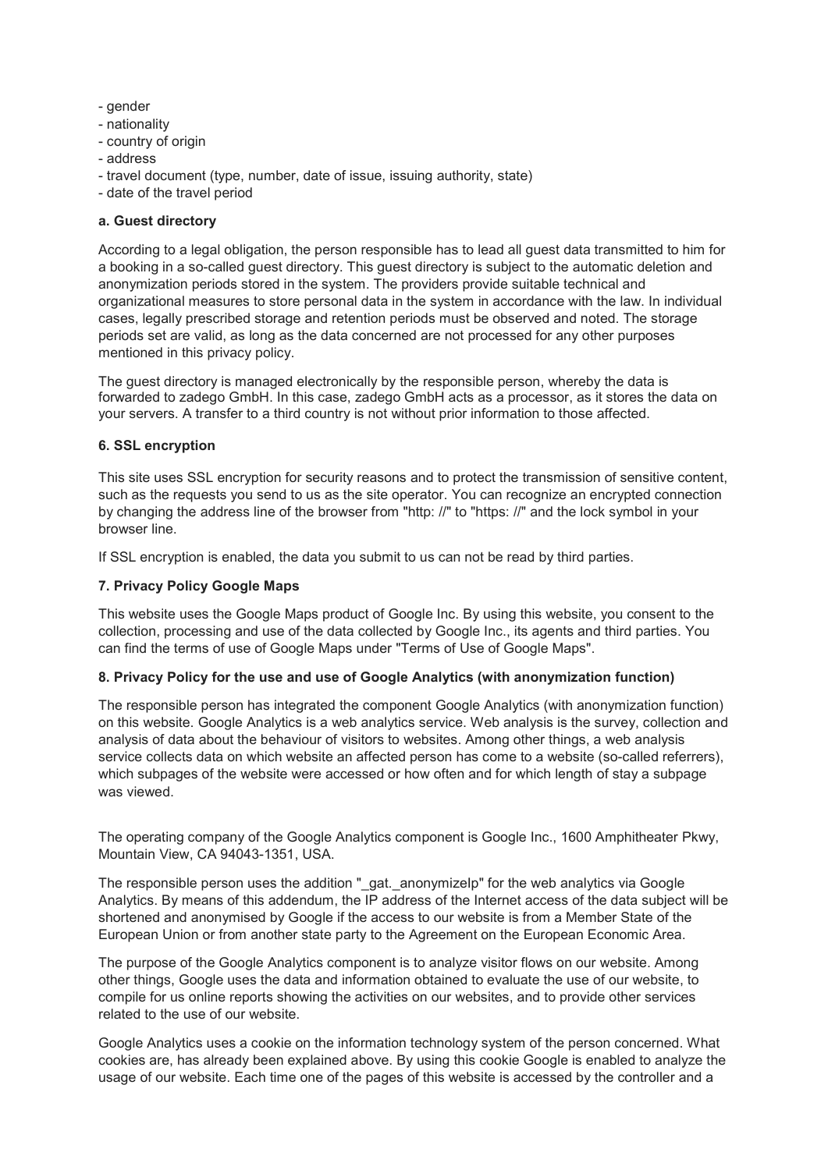- gender
- nationality
- country of origin
- address
- travel document (type, number, date of issue, issuing authority, state)
- date of the travel period

## a. Guest directory

According to a legal obligation, the person responsible has to lead all guest data transmitted to him for a booking in a so-called guest directory. This guest directory is subject to the automatic deletion and anonymization periods stored in the system. The providers provide suitable technical and organizational measures to store personal data in the system in accordance with the law. In individual cases, legally prescribed storage and retention periods must be observed and noted. The storage periods set are valid, as long as the data concerned are not processed for any other purposes mentioned in this privacy policy.

The guest directory is managed electronically by the responsible person, whereby the data is forwarded to zadego GmbH. In this case, zadego GmbH acts as a processor, as it stores the data on your servers. A transfer to a third country is not without prior information to those affected.

### 6. SSL encryption

This site uses SSL encryption for security reasons and to protect the transmission of sensitive content, such as the requests you send to us as the site operator. You can recognize an encrypted connection by changing the address line of the browser from "http: //" to "https: //" and the lock symbol in your browser line.

If SSL encryption is enabled, the data you submit to us can not be read by third parties.

# 7. Privacy Policy Google Maps

This website uses the Google Maps product of Google Inc. By using this website, you consent to the collection, processing and use of the data collected by Google Inc., its agents and third parties. You can find the terms of use of Google Maps under "Terms of Use of Google Maps".

#### 8. Privacy Policy for the use and use of Google Analytics (with anonymization function)

The responsible person has integrated the component Google Analytics (with anonymization function) on this website. Google Analytics is a web analytics service. Web analysis is the survey, collection and analysis of data about the behaviour of visitors to websites. Among other things, a web analysis service collects data on which website an affected person has come to a website (so-called referrers), which subpages of the website were accessed or how often and for which length of stay a subpage was viewed.

The operating company of the Google Analytics component is Google Inc., 1600 Amphitheater Pkwy, Mountain View, CA 94043-1351, USA.

The responsible person uses the addition " gat. anonymizeIp" for the web analytics via Google Analytics. By means of this addendum, the IP address of the Internet access of the data subject will be shortened and anonymised by Google if the access to our website is from a Member State of the European Union or from another state party to the Agreement on the European Economic Area.

The purpose of the Google Analytics component is to analyze visitor flows on our website. Among other things, Google uses the data and information obtained to evaluate the use of our website, to compile for us online reports showing the activities on our websites, and to provide other services related to the use of our website.

Google Analytics uses a cookie on the information technology system of the person concerned. What cookies are, has already been explained above. By using this cookie Google is enabled to analyze the usage of our website. Each time one of the pages of this website is accessed by the controller and a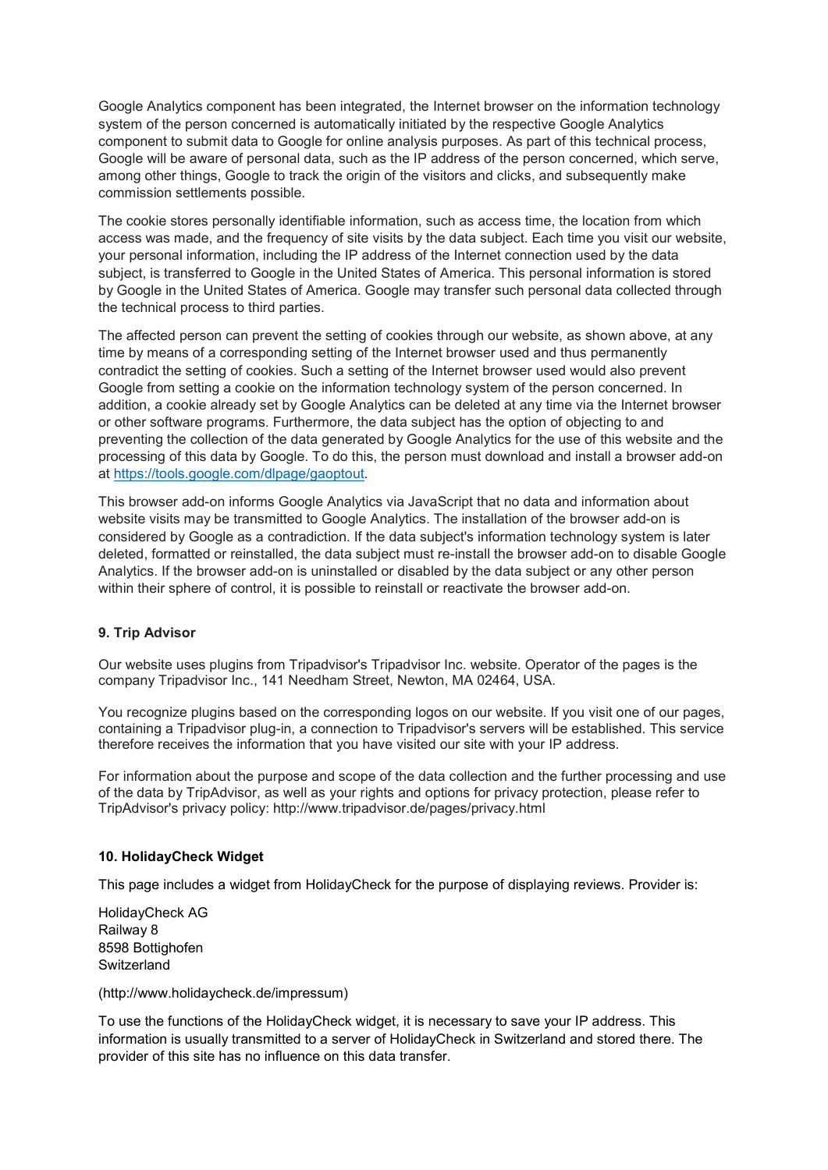Google Analytics component has been integrated, the Internet browser on the information technology system of the person concerned is automatically initiated by the respective Google Analytics component to submit data to Google for online analysis purposes. As part of this technical process, Google will be aware of personal data, such as the IP address of the person concerned, which serve, among other things, Google to track the origin of the visitors and clicks, and subsequently make commission settlements possible.

The cookie stores personally identifiable information, such as access time, the location from which access was made, and the frequency of site visits by the data subject. Each time you visit our website, your personal information, including the IP address of the Internet connection used by the data subject, is transferred to Google in the United States of America. This personal information is stored by Google in the United States of America. Google may transfer such personal data collected through the technical process to third parties.

The affected person can prevent the setting of cookies through our website, as shown above, at any time by means of a corresponding setting of the Internet browser used and thus permanently contradict the setting of cookies. Such a setting of the Internet browser used would also prevent Google from setting a cookie on the information technology system of the person concerned. In addition, a cookie already set by Google Analytics can be deleted at any time via the Internet browser or other software programs. Furthermore, the data subject has the option of objecting to and preventing the collection of the data generated by Google Analytics for the use of this website and the processing of this data by Google. To do this, the person must download and install a browser add-on at https://tools.google.com/dlpage/gaoptout.

This browser add-on informs Google Analytics via JavaScript that no data and information about website visits may be transmitted to Google Analytics. The installation of the browser add-on is considered by Google as a contradiction. If the data subject's information technology system is later deleted, formatted or reinstalled, the data subject must re-install the browser add-on to disable Google Analytics. If the browser add-on is uninstalled or disabled by the data subject or any other person within their sphere of control, it is possible to reinstall or reactivate the browser add-on.

## 9. Trip Advisor

Our website uses plugins from Tripadvisor's Tripadvisor Inc. website. Operator of the pages is the company Tripadvisor Inc., 141 Needham Street, Newton, MA 02464, USA.

You recognize plugins based on the corresponding logos on our website. If you visit one of our pages, containing a Tripadvisor plug-in, a connection to Tripadvisor's servers will be established. This service therefore receives the information that you have visited our site with your IP address.

For information about the purpose and scope of the data collection and the further processing and use of the data by TripAdvisor, as well as your rights and options for privacy protection, please refer to TripAdvisor's privacy policy: http://www.tripadvisor.de/pages/privacy.html

#### 10. HolidayCheck Widget

This page includes a widget from HolidayCheck for the purpose of displaying reviews. Provider is:

HolidayCheck AG Railway 8 8598 Bottighofen **Switzerland** 

(http://www.holidaycheck.de/impressum)

To use the functions of the HolidayCheck widget, it is necessary to save your IP address. This information is usually transmitted to a server of HolidayCheck in Switzerland and stored there. The provider of this site has no influence on this data transfer.